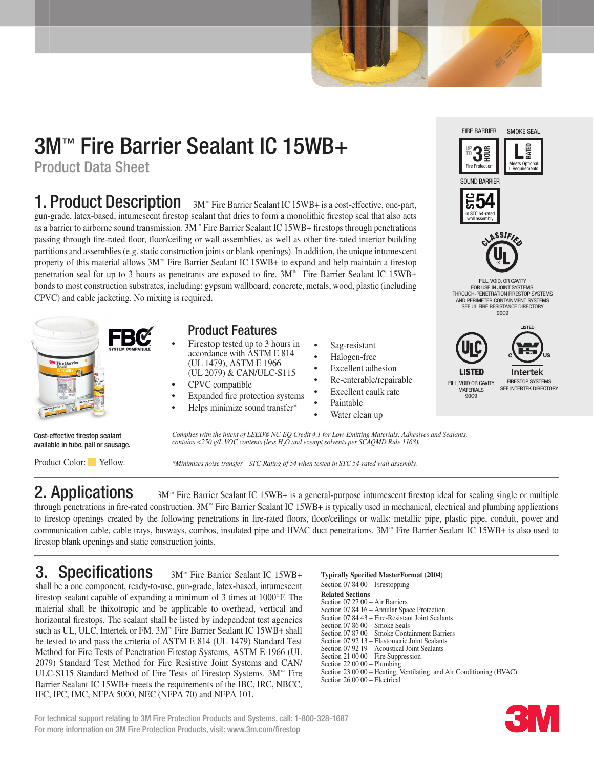# 3M™ Fire Barrier Sealant IC 15WB+

Product Data Sheet

**1. Product Description** 3M<sup>™</sup> Fire Barrier Sealant IC 15WB+ is a cost-effective, one-part, gun-grade, latex-based, intumescent firestop sealant that dries to form a monolithic firestop seal that also acts as a barrier to airborne sound transmission. 3M™ Fire Barrier Sealant IC 15WB+ firestops through penetrations passing through fire-rated floor, floor/ceiling or wall assemblies, as well as other fire-rated interior building partitions and assemblies (e.g. static construction joints or blank openings). In addition, the unique intumescent property of this material allows  $3M<sup>W</sup>$  Fire Barrier Sealant IC 15WB+ to expand and help maintain a firestop penetration seal for up to 3 hours as penetrants are exposed to fire. 3M™ Fire Barrier Sealant IC 15WB+ bonds to most construction substrates, including: gypsum wallboard, concrete, metals, wood, plastic (including CPVC) and cable jacketing. No mixing is required.



## Product Features

- Firestop tested up to 3 hours in accordance with ASTM E 814 (UL 1479), ASTM E 1966 (UL 2079) & CAN/ULC-S115
- CPVC compatible
- Expanded fire protection systems
- Helps minimize sound transfer\*
- Sag-resistant
- Halogen-free
- Excellent adhesion
- Re-enterable/repairable
- Excellent caulk rate
- **Paintable**
- Water clean up



FIRE BARRIER

SMOKE SEAL

Cost-effective firestop sealant available in tube, pail or sausage.

Product Color: Yellow.

*Complies with the intent of LEED® NC-EQ Credit 4.1 for Low-Emitting Materials: Adhesives and Sealants, contains <250 g/L VOC contents (less H2O and exempt solvents per SCAQMD Rule 1168).*

*\*Minimizes noise transfer—STC-Rating of 54 when tested in STC 54-rated wall assembly.*

**2. Applications** 3M™ Fire Barrier Sealant IC 15WB+ is a general-purpose intumescent firestop ideal for sealing single or multiple through penetrations in fire-rated construction. 3M™ Fire Barrier Sealant IC 15WB+ is typically used in mechanical, electrical and plumbing applications to firestop openings created by the following penetrations in fire-rated floors, floor/ceilings or walls: metallic pipe, plastic pipe, conduit, power and communication cable, cable trays, busways, combos, insulated pipe and HVAC duct penetrations. 3M™ Fire Barrier Sealant IC 15WB+ is also used to firestop blank openings and static construction joints.

## 3. Specifications 3M<sup>™</sup> Fire Barrier Sealant IC 15WB+

shall be a one component, ready-to-use, gun-grade, latex-based, intumescent firestop sealant capable of expanding a minimum of 3 times at 1000°F. The material shall be thixotropic and be applicable to overhead, vertical and horizontal firestops. The sealant shall be listed by independent test agencies such as UL, ULC, Intertek or FM. 3M™ Fire Barrier Sealant IC 15WB+ shall be tested to and pass the criteria of ASTM E 814 (UL 1479) Standard Test Method for Fire Tests of Penetration Firestop Systems, ASTM E 1966 (UL 2079) Standard Test Method for Fire Resistive Joint Systems and CAN/ ULC-S115 Standard Method of Fire Tests of Firestop Systems. 3M™ Fire Barrier Sealant IC 15WB+ meets the requirements of the IBC, IRC, NBCC, IFC, IPC, IMC, NFPA 5000, NEC (NFPA 70) and NFPA 101.

### **Typically Specified MasterFormat (2004)**

Section 07 84 00 – Firestopping **Related Sections** Section 07 27 00 – Air Barriers Section 07 84 16 – Annular Space Protection Section 07 84 43 – Fire-Resistant Joint Sealants Section 07 86 00 – Smoke Seals Section 07 87 00 – Smoke Containment Barriers Section 07 92 13 – Elastomeric Joint Sealants Section 07 92 19 – Acoustical Joint Sealants Section 21 00 00 – Fire Suppression Section 22 00 00 – Plumbing Section 23 00 00 – Heating, Ventilating, and Air Conditioning (HVAC) Section 26 00 00 – Electrical